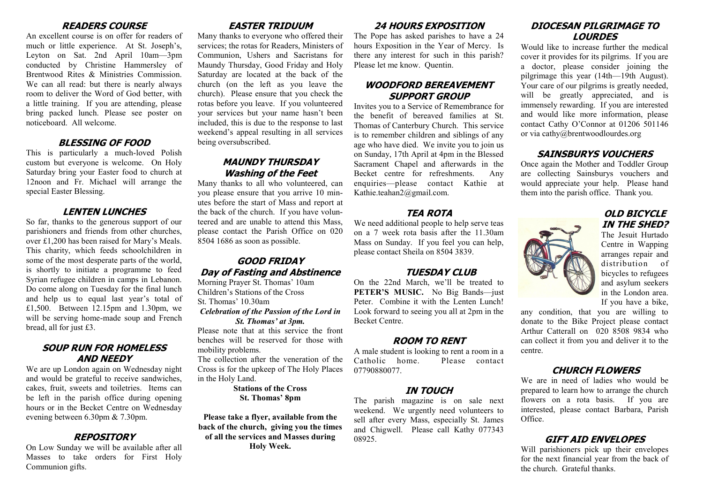#### **READERS COURSE**

An excellent course is on offer for readers of much or little experience. At St. Joseph's, Leyton on Sat. 2nd April 10am—3pm conducted by Christine Hammersley of Brentwood Rites & Ministries Commission. We can all read: but there is nearly always room to deliver the Word of God better, with a little training. If you are attending, please bring packed lunch. Please see poster on noticeboard. All welcome.

#### **BLESSING OF FOOD**

This is particularly a much-loved Polish custom but everyone is welcome. On Holy Saturday bring your Easter food to church at 12noon and Fr. Michael will arrange the special Easter Blessing.

## **LENTEN LUNCHES**

So far, thanks to the generous support of our parishioners and friends from other churches, over £1,200 has been raised for Mary's Meals. This charity, which feeds schoolchildren in some of the most desperate parts of the world, is shortly to initiate a programme to feed Syrian refugee children in camps in Lebanon. Do come along on Tuesday for the final lunch and help us to equal last year's total of £1,500. Between 12.15pm and 1.30pm, we will be serving home-made soup and French bread, all for just £3.

#### **SOUP RUN FOR HOMELESS AND NEEDY**

We are up London again on Wednesday night and would be grateful to receive sandwiches, cakes, fruit, sweets and toiletries. Items can be left in the parish office during opening hours or in the Becket Centre on Wednesday evening between 6.30pm & 7.30pm.

## **REPOSITORY**

On Low Sunday we will be available after all Masses to take orders for First Holy Communion gifts.

# **EASTER TRIDUUM**

Many thanks to everyone who offered their services; the rotas for Readers, Ministers of Communion, Ushers and Sacristans for Maundy Thursday, Good Friday and Holy Saturday are located at the back of the church (on the left as you leave the church). Please ensure that you check the rotas before you leave. If you volunteered your services but your name hasn't been included, this is due to the response to last weekend's appeal resulting in all services being oversubscribed.

## **MAUNDY THURSDAY Washing of the Feet**

Many thanks to all who volunteered, can you please ensure that you arrive 10 minutes before the start of Mass and report at the back of the church. If you have volunteered and are unable to attend this Mass, please contact the Parish Office on 020 8504 1686 as soon as possible.

## **GOOD FRIDAY Day of Fasting and Abstinence**

Morning Prayer St. Thomas' 10am Children's Stations of the Cross St. Thomas' 10.30am

*Celebration of the Passion of the Lord in St. Thomas' at 3pm.* 

Please note that at this service the front benches will be reserved for those with mobility problems.

The collection after the veneration of the Cross is for the upkeep of The Holy Places in the Holy Land.

#### **Stations of the Cross St. Thomas' 8pm**

**Please take a flyer, available from the back of the church, giving you the times of all the services and Masses during Holy Week.**

# **24 HOURS EXPOSITION**

The Pope has asked parishes to have a 24 hours Exposition in the Year of Mercy. Is there any interest for such in this parish? Please let me know. Quentin.

## **WOODFORD BEREAVEMENT SUPPORT GROUP**

Invites you to a Service of Remembrance for the benefit of bereaved families at St. Thomas of Canterbury Church. This service is to remember children and siblings of any age who have died. We invite you to join us on Sunday, 17th April at 4pm in the Blessed Sacrament Chapel and afterwards in the Becket centre for refreshments. Any enquiries—please contact Kathie at Kathie.teahan2@gmail.com.

## **TEA ROTA**

We need additional people to help serve teas on a 7 week rota basis after the 11.30am Mass on Sunday. If you feel you can help, please contact Sheila on 8504 3839.

## **TUESDAY CLUB**

On the 22nd March, we'll be treated to **PETER'S MUSIC.** No Big Bands—just Peter. Combine it with the Lenten Lunch! Look forward to seeing you all at 2pm in the Becket Centre.

# **ROOM TO RENT**

A male student is looking to rent a room in a Catholic home. Please contact 07790880077.

## **IN TOUCH**

The parish magazine is on sale next weekend. We urgently need volunteers to sell after every Mass, especially St. James and Chigwell. Please call Kathy 077343 08925.

## **DIOCESAN PILGRIMAGE TO LOURDES**

Would like to increase further the medical cover it provides for its pilgrims. If you are a doctor, please consider joining the pilgrimage this year (14th—19th August). Your care of our pilgrims is greatly needed, will be greatly appreciated, and is immensely rewarding. If you are interested and would like more information, please contact Cathy O'Connor at 01206 501146 or via cathy@brentwoodlourdes.org

## **SAINSBURYS VOUCHERS**

Once again the Mother and Toddler Group are collecting Sainsburys vouchers and would appreciate your help. Please hand them into the parish office. Thank you.

## **OLD BICYCLE IN THE SHED?**

The Jesuit Hurtado Centre in Wapping arranges repair and distribution of bicycles to refugees and asylum seekers in the London area. If you have a bike,

any condition, that you are willing to donate to the Bike Project please contact Arthur Catterall on 020 8508 9834 who can collect it from you and deliver it to the centre.

# **CHURCH FLOWERS**

We are in need of ladies who would be prepared to learn how to arrange the church flowers on a rota basis. If you are interested, please contact Barbara, Parish Office.

# **GIFT AID ENVELOPES**

Will parishioners pick up their envelopes for the next financial year from the back of the church. Grateful thanks.